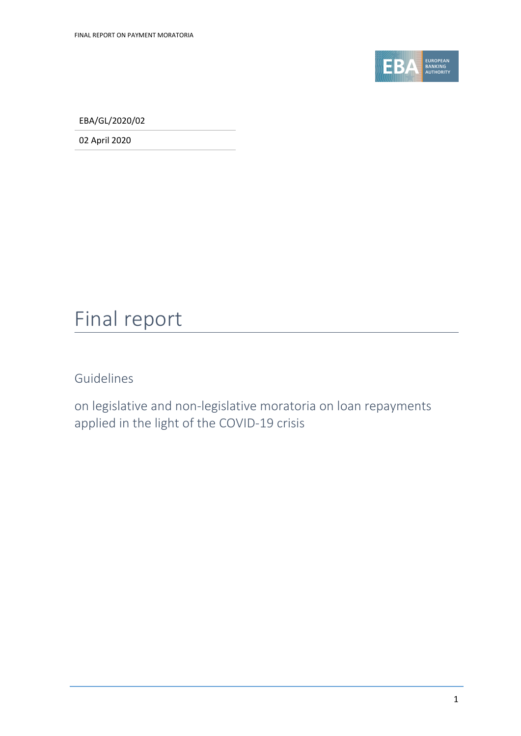

EBA/GL/2020/02

02 April 2020

## Final report

Guidelines

on legislative and non-legislative moratoria on loan repayments applied in the light of the COVID-19 crisis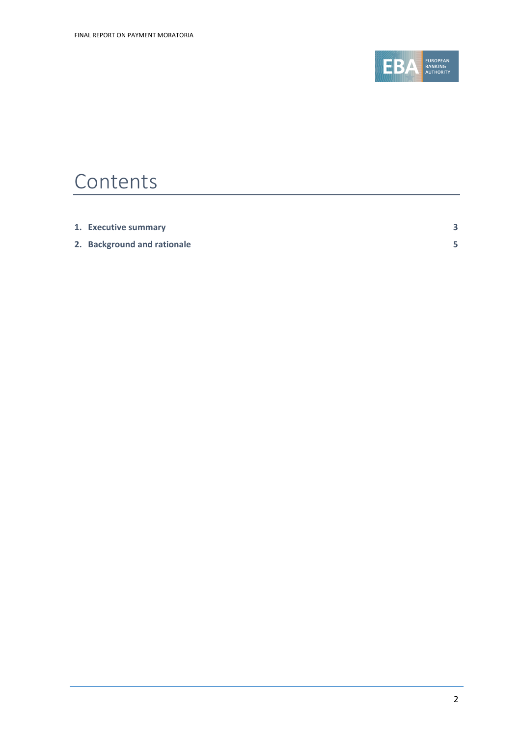

## Contents

| 1. Executive summary        |  |
|-----------------------------|--|
| 2. Background and rationale |  |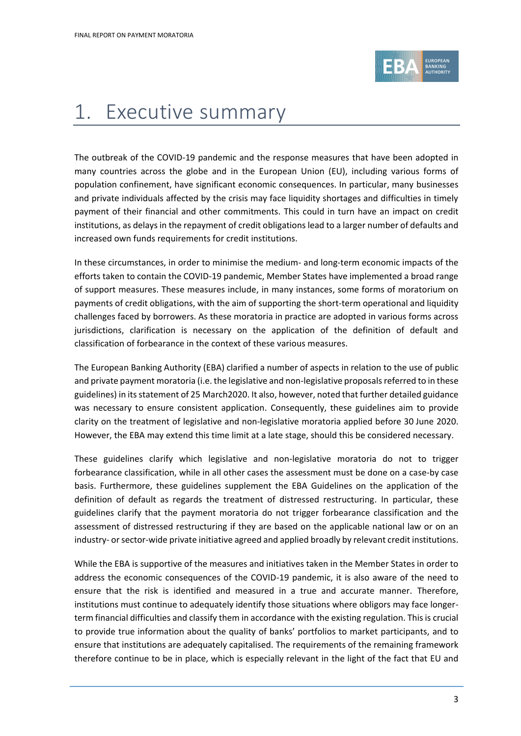

## <span id="page-2-0"></span>1. Executive summary

The outbreak of the COVID-19 pandemic and the response measures that have been adopted in many countries across the globe and in the European Union (EU), including various forms of population confinement, have significant economic consequences. In particular, many businesses and private individuals affected by the crisis may face liquidity shortages and difficulties in timely payment of their financial and other commitments. This could in turn have an impact on credit institutions, as delays in the repayment of credit obligations lead to a larger number of defaults and increased own funds requirements for credit institutions.

In these circumstances, in order to minimise the medium- and long-term economic impacts of the efforts taken to contain the COVID-19 pandemic, Member States have implemented a broad range of support measures. These measures include, in many instances, some forms of moratorium on payments of credit obligations, with the aim of supporting the short-term operational and liquidity challenges faced by borrowers. As these moratoria in practice are adopted in various forms across jurisdictions, clarification is necessary on the application of the definition of default and classification of forbearance in the context of these various measures.

The European Banking Authority (EBA) clarified a number of aspects in relation to the use of public and private payment moratoria (i.e. the legislative and non-legislative proposals referred to in these guidelines) in its statement of 25 March2020. It also, however, noted that further detailed guidance was necessary to ensure consistent application. Consequently, these guidelines aim to provide clarity on the treatment of legislative and non-legislative moratoria applied before 30 June 2020. However, the EBA may extend this time limit at a late stage, should this be considered necessary.

These guidelines clarify which legislative and non-legislative moratoria do not to trigger forbearance classification, while in all other cases the assessment must be done on a case-by case basis. Furthermore, these guidelines supplement the EBA Guidelines on the application of the definition of default as regards the treatment of distressed restructuring. In particular, these guidelines clarify that the payment moratoria do not trigger forbearance classification and the assessment of distressed restructuring if they are based on the applicable national law or on an industry- or sector-wide private initiative agreed and applied broadly by relevant credit institutions.

While the EBA is supportive of the measures and initiatives taken in the Member States in order to address the economic consequences of the COVID-19 pandemic, it is also aware of the need to ensure that the risk is identified and measured in a true and accurate manner. Therefore, institutions must continue to adequately identify those situations where obligors may face longerterm financial difficulties and classify them in accordance with the existing regulation. This is crucial to provide true information about the quality of banks' portfolios to market participants, and to ensure that institutions are adequately capitalised. The requirements of the remaining framework therefore continue to be in place, which is especially relevant in the light of the fact that EU and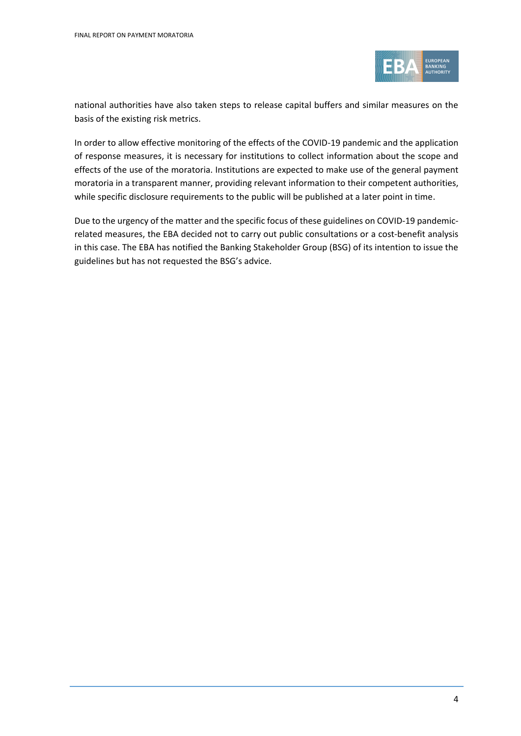

national authorities have also taken steps to release capital buffers and similar measures on the basis of the existing risk metrics.

In order to allow effective monitoring of the effects of the COVID-19 pandemic and the application of response measures, it is necessary for institutions to collect information about the scope and effects of the use of the moratoria. Institutions are expected to make use of the general payment moratoria in a transparent manner, providing relevant information to their competent authorities, while specific disclosure requirements to the public will be published at a later point in time.

<span id="page-3-0"></span>Due to the urgency of the matter and the specific focus of these guidelines on COVID-19 pandemicrelated measures, the EBA decided not to carry out public consultations or a cost-benefit analysis in this case. The EBA has notified the Banking Stakeholder Group (BSG) of its intention to issue the guidelines but has not requested the BSG's advice.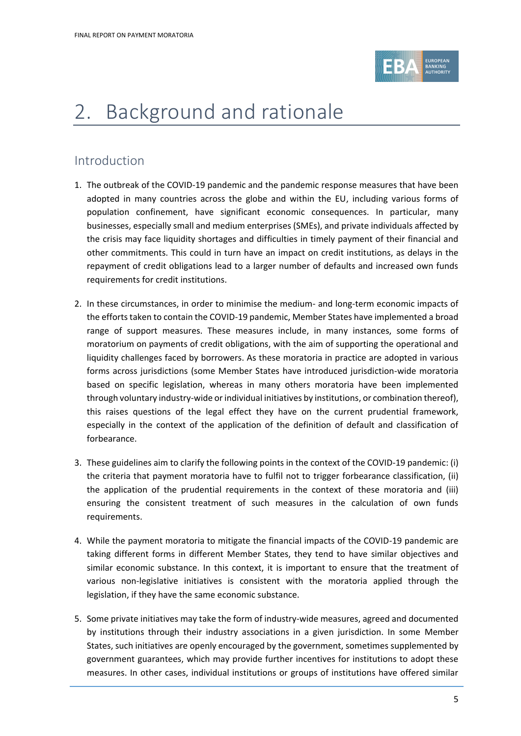

# 2. Background and rationale

### Introduction

- 1. The outbreak of the COVID-19 pandemic and the pandemic response measures that have been adopted in many countries across the globe and within the EU, including various forms of population confinement, have significant economic consequences. In particular, many businesses, especially small and medium enterprises (SMEs), and private individuals affected by the crisis may face liquidity shortages and difficulties in timely payment of their financial and other commitments. This could in turn have an impact on credit institutions, as delays in the repayment of credit obligations lead to a larger number of defaults and increased own funds requirements for credit institutions.
- 2. In these circumstances, in order to minimise the medium- and long-term economic impacts of the efforts taken to contain the COVID-19 pandemic, Member States have implemented a broad range of support measures. These measures include, in many instances, some forms of moratorium on payments of credit obligations, with the aim of supporting the operational and liquidity challenges faced by borrowers. As these moratoria in practice are adopted in various forms across jurisdictions (some Member States have introduced jurisdiction-wide moratoria based on specific legislation, whereas in many others moratoria have been implemented through voluntary industry-wide or individual initiatives by institutions, or combination thereof), this raises questions of the legal effect they have on the current prudential framework, especially in the context of the application of the definition of default and classification of forbearance.
- 3. These guidelines aim to clarify the following points in the context of the COVID-19 pandemic: (i) the criteria that payment moratoria have to fulfil not to trigger forbearance classification, (ii) the application of the prudential requirements in the context of these moratoria and (iii) ensuring the consistent treatment of such measures in the calculation of own funds requirements.
- 4. While the payment moratoria to mitigate the financial impacts of the COVID-19 pandemic are taking different forms in different Member States, they tend to have similar objectives and similar economic substance. In this context, it is important to ensure that the treatment of various non-legislative initiatives is consistent with the moratoria applied through the legislation, if they have the same economic substance.
- 5. Some private initiatives may take the form of industry-wide measures, agreed and documented by institutions through their industry associations in a given jurisdiction. In some Member States, such initiatives are openly encouraged by the government, sometimes supplemented by government guarantees, which may provide further incentives for institutions to adopt these measures. In other cases, individual institutions or groups of institutions have offered similar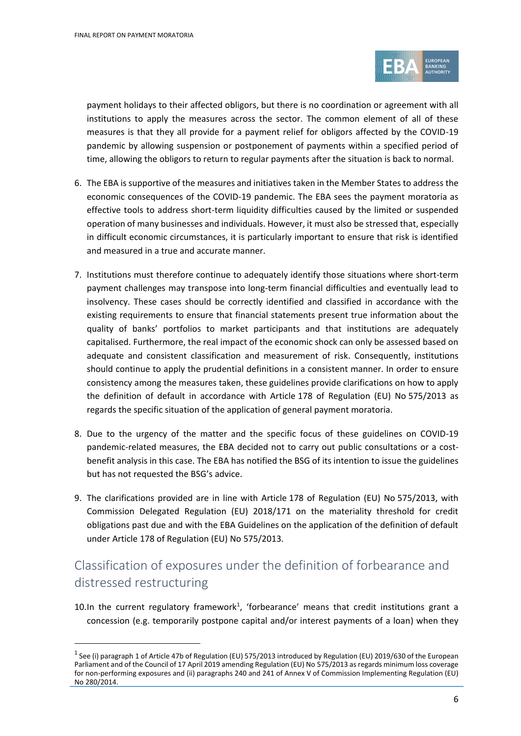$\ddot{\phantom{a}}$ 



payment holidays to their affected obligors, but there is no coordination or agreement with all institutions to apply the measures across the sector. The common element of all of these measures is that they all provide for a payment relief for obligors affected by the COVID-19 pandemic by allowing suspension or postponement of payments within a specified period of time, allowing the obligors to return to regular payments after the situation is back to normal.

- 6. The EBA is supportive of the measures and initiatives taken in the Member States to address the economic consequences of the COVID-19 pandemic. The EBA sees the payment moratoria as effective tools to address short-term liquidity difficulties caused by the limited or suspended operation of many businesses and individuals. However, it must also be stressed that, especially in difficult economic circumstances, it is particularly important to ensure that risk is identified and measured in a true and accurate manner.
- 7. Institutions must therefore continue to adequately identify those situations where short-term payment challenges may transpose into long-term financial difficulties and eventually lead to insolvency. These cases should be correctly identified and classified in accordance with the existing requirements to ensure that financial statements present true information about the quality of banks' portfolios to market participants and that institutions are adequately capitalised. Furthermore, the real impact of the economic shock can only be assessed based on adequate and consistent classification and measurement of risk. Consequently, institutions should continue to apply the prudential definitions in a consistent manner. In order to ensure consistency among the measures taken, these guidelines provide clarifications on how to apply the definition of default in accordance with Article 178 of Regulation (EU) No 575/2013 as regards the specific situation of the application of general payment moratoria.
- 8. Due to the urgency of the matter and the specific focus of these guidelines on COVID-19 pandemic-related measures, the EBA decided not to carry out public consultations or a costbenefit analysis in this case. The EBA has notified the BSG of its intention to issue the guidelines but has not requested the BSG's advice.
- 9. The clarifications provided are in line with Article 178 of Regulation (EU) No 575/2013, with Commission Delegated Regulation (EU) 2018/171 on the materiality threshold for credit obligations past due and with the EBA Guidelines on the application of the definition of default under Article 178 of Regulation (EU) No 575/2013.

### Classification of exposures under the definition of forbearance and distressed restructuring

10. In the current regulatory framework<sup>1</sup>, 'forbearance' means that credit institutions grant a concession (e.g. temporarily postpone capital and/or interest payments of a loan) when they

<sup>&</sup>lt;sup>1</sup> See (i) paragraph 1 of Article 47b of Regulation (EU) 575/2013 introduced by Regulation (EU) 2019/630 of the European Parliament and of the Council of 17 April 2019 amending Regulation (EU) No 575/2013 as regards minimum loss coverage for non-performing exposures and (ii) paragraphs 240 and 241 of Annex V of Commission Implementing Regulation (EU) No 280/2014.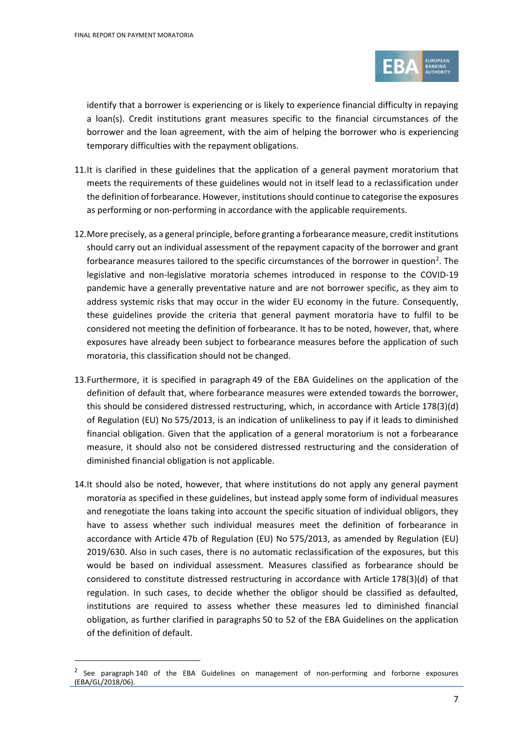$\overline{a}$ 



identify that a borrower is experiencing or is likely to experience financial difficulty in repaying a loan(s). Credit institutions grant measures specific to the financial circumstances of the borrower and the loan agreement, with the aim of helping the borrower who is experiencing temporary difficulties with the repayment obligations.

- 11.It is clarified in these guidelines that the application of a general payment moratorium that meets the requirements of these guidelines would not in itself lead to a reclassification under the definition of forbearance. However, institutions should continue to categorise the exposures as performing or non-performing in accordance with the applicable requirements.
- 12.More precisely, as a general principle, before granting a forbearance measure, credit institutions should carry out an individual assessment of the repayment capacity of the borrower and grant forbearance measures tailored to the specific circumstances of the borrower in question<sup>2</sup>. The legislative and non-legislative moratoria schemes introduced in response to the COVID-19 pandemic have a generally preventative nature and are not borrower specific, as they aim to address systemic risks that may occur in the wider EU economy in the future. Consequently, these guidelines provide the criteria that general payment moratoria have to fulfil to be considered not meeting the definition of forbearance. It has to be noted, however, that, where exposures have already been subject to forbearance measures before the application of such moratoria, this classification should not be changed.
- 13.Furthermore, it is specified in paragraph 49 of the EBA Guidelines on the application of the definition of default that, where forbearance measures were extended towards the borrower, this should be considered distressed restructuring, which, in accordance with Article 178(3)(d) of Regulation (EU) No 575/2013, is an indication of unlikeliness to pay if it leads to diminished financial obligation. Given that the application of a general moratorium is not a forbearance measure, it should also not be considered distressed restructuring and the consideration of diminished financial obligation is not applicable.
- 14.It should also be noted, however, that where institutions do not apply any general payment moratoria as specified in these guidelines, but instead apply some form of individual measures and renegotiate the loans taking into account the specific situation of individual obligors, they have to assess whether such individual measures meet the definition of forbearance in accordance with Article 47b of Regulation (EU) No 575/2013, as amended by Regulation (EU) 2019/630. Also in such cases, there is no automatic reclassification of the exposures, but this would be based on individual assessment. Measures classified as forbearance should be considered to constitute distressed restructuring in accordance with Article 178(3)(d) of that regulation. In such cases, to decide whether the obligor should be classified as defaulted, institutions are required to assess whether these measures led to diminished financial obligation, as further clarified in paragraphs 50 to 52 of the EBA Guidelines on the application of the definition of default.

<sup>2</sup> See paragraph 140 of the EBA Guidelines on management of non-performing and forborne exposures (EBA/GL/2018/06).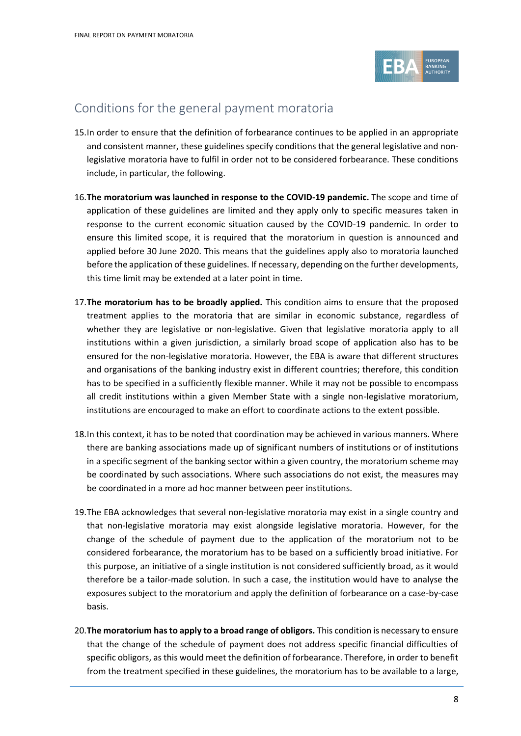

### Conditions for the general payment moratoria

- 15.In order to ensure that the definition of forbearance continues to be applied in an appropriate and consistent manner, these guidelines specify conditions that the general legislative and nonlegislative moratoria have to fulfil in order not to be considered forbearance. These conditions include, in particular, the following.
- 16.**The moratorium was launched in response to the COVID-19 pandemic.** The scope and time of application of these guidelines are limited and they apply only to specific measures taken in response to the current economic situation caused by the COVID-19 pandemic. In order to ensure this limited scope, it is required that the moratorium in question is announced and applied before 30 June 2020. This means that the guidelines apply also to moratoria launched before the application of these guidelines. If necessary, depending on the further developments, this time limit may be extended at a later point in time.
- 17.**The moratorium has to be broadly applied.** This condition aims to ensure that the proposed treatment applies to the moratoria that are similar in economic substance, regardless of whether they are legislative or non-legislative. Given that legislative moratoria apply to all institutions within a given jurisdiction, a similarly broad scope of application also has to be ensured for the non-legislative moratoria. However, the EBA is aware that different structures and organisations of the banking industry exist in different countries; therefore, this condition has to be specified in a sufficiently flexible manner. While it may not be possible to encompass all credit institutions within a given Member State with a single non-legislative moratorium, institutions are encouraged to make an effort to coordinate actions to the extent possible.
- 18.In this context, it has to be noted that coordination may be achieved in various manners. Where there are banking associations made up of significant numbers of institutions or of institutions in a specific segment of the banking sector within a given country, the moratorium scheme may be coordinated by such associations. Where such associations do not exist, the measures may be coordinated in a more ad hoc manner between peer institutions.
- 19.The EBA acknowledges that several non-legislative moratoria may exist in a single country and that non-legislative moratoria may exist alongside legislative moratoria. However, for the change of the schedule of payment due to the application of the moratorium not to be considered forbearance, the moratorium has to be based on a sufficiently broad initiative. For this purpose, an initiative of a single institution is not considered sufficiently broad, as it would therefore be a tailor-made solution. In such a case, the institution would have to analyse the exposures subject to the moratorium and apply the definition of forbearance on a case-by-case basis.
- 20.**The moratorium has to apply to a broad range of obligors.** This condition is necessary to ensure that the change of the schedule of payment does not address specific financial difficulties of specific obligors, as this would meet the definition of forbearance. Therefore, in order to benefit from the treatment specified in these guidelines, the moratorium has to be available to a large,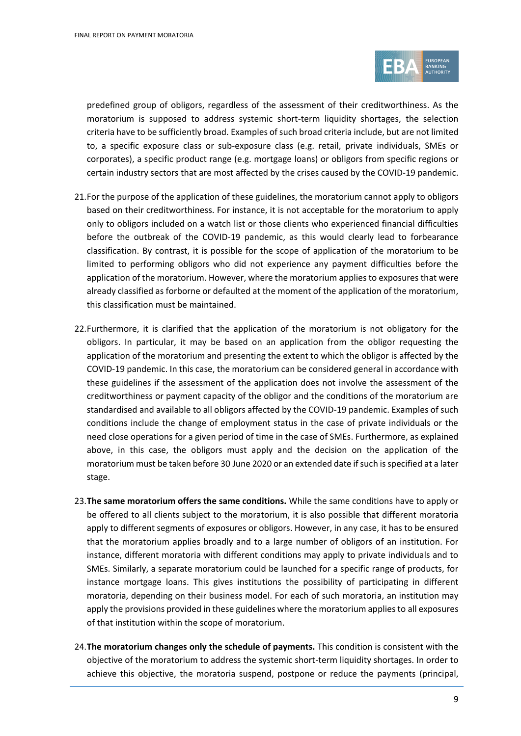

predefined group of obligors, regardless of the assessment of their creditworthiness. As the moratorium is supposed to address systemic short-term liquidity shortages, the selection criteria have to be sufficiently broad. Examples of such broad criteria include, but are not limited to, a specific exposure class or sub-exposure class (e.g. retail, private individuals, SMEs or corporates), a specific product range (e.g. mortgage loans) or obligors from specific regions or certain industry sectors that are most affected by the crises caused by the COVID-19 pandemic.

- 21.For the purpose of the application of these guidelines, the moratorium cannot apply to obligors based on their creditworthiness. For instance, it is not acceptable for the moratorium to apply only to obligors included on a watch list or those clients who experienced financial difficulties before the outbreak of the COVID-19 pandemic, as this would clearly lead to forbearance classification. By contrast, it is possible for the scope of application of the moratorium to be limited to performing obligors who did not experience any payment difficulties before the application of the moratorium. However, where the moratorium applies to exposures that were already classified as forborne or defaulted at the moment of the application of the moratorium, this classification must be maintained.
- 22.Furthermore, it is clarified that the application of the moratorium is not obligatory for the obligors. In particular, it may be based on an application from the obligor requesting the application of the moratorium and presenting the extent to which the obligor is affected by the COVID-19 pandemic. In this case, the moratorium can be considered general in accordance with these guidelines if the assessment of the application does not involve the assessment of the creditworthiness or payment capacity of the obligor and the conditions of the moratorium are standardised and available to all obligors affected by the COVID-19 pandemic. Examples of such conditions include the change of employment status in the case of private individuals or the need close operations for a given period of time in the case of SMEs. Furthermore, as explained above, in this case, the obligors must apply and the decision on the application of the moratorium must be taken before 30 June 2020 or an extended date if such is specified at a later stage.
- 23.**The same moratorium offers the same conditions.** While the same conditions have to apply or be offered to all clients subject to the moratorium, it is also possible that different moratoria apply to different segments of exposures or obligors. However, in any case, it has to be ensured that the moratorium applies broadly and to a large number of obligors of an institution. For instance, different moratoria with different conditions may apply to private individuals and to SMEs. Similarly, a separate moratorium could be launched for a specific range of products, for instance mortgage loans. This gives institutions the possibility of participating in different moratoria, depending on their business model. For each of such moratoria, an institution may apply the provisions provided in these guidelines where the moratorium applies to all exposures of that institution within the scope of moratorium.
- 24.**The moratorium changes only the schedule of payments.** This condition is consistent with the objective of the moratorium to address the systemic short-term liquidity shortages. In order to achieve this objective, the moratoria suspend, postpone or reduce the payments (principal,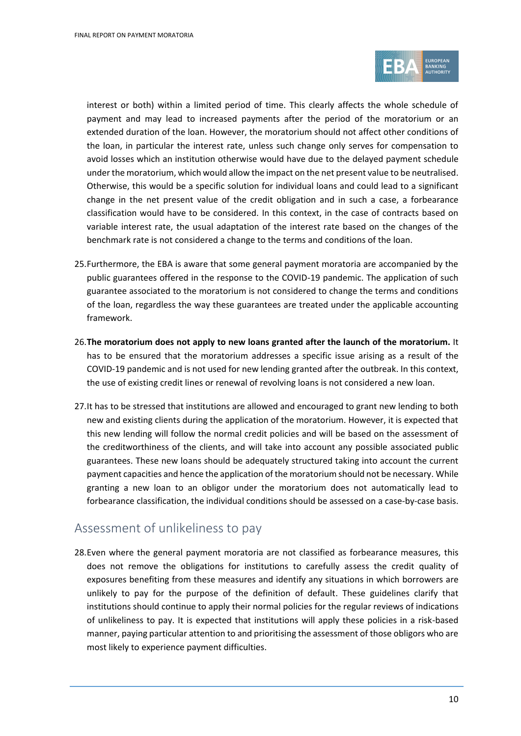

interest or both) within a limited period of time. This clearly affects the whole schedule of payment and may lead to increased payments after the period of the moratorium or an extended duration of the loan. However, the moratorium should not affect other conditions of the loan, in particular the interest rate, unless such change only serves for compensation to avoid losses which an institution otherwise would have due to the delayed payment schedule under the moratorium, which would allow the impact on the net present value to be neutralised. Otherwise, this would be a specific solution for individual loans and could lead to a significant change in the net present value of the credit obligation and in such a case, a forbearance classification would have to be considered. In this context, in the case of contracts based on variable interest rate, the usual adaptation of the interest rate based on the changes of the benchmark rate is not considered a change to the terms and conditions of the loan.

- 25.Furthermore, the EBA is aware that some general payment moratoria are accompanied by the public guarantees offered in the response to the COVID-19 pandemic. The application of such guarantee associated to the moratorium is not considered to change the terms and conditions of the loan, regardless the way these guarantees are treated under the applicable accounting framework.
- 26.**The moratorium does not apply to new loans granted after the launch of the moratorium.** It has to be ensured that the moratorium addresses a specific issue arising as a result of the COVID-19 pandemic and is not used for new lending granted after the outbreak. In this context, the use of existing credit lines or renewal of revolving loans is not considered a new loan.
- 27.It has to be stressed that institutions are allowed and encouraged to grant new lending to both new and existing clients during the application of the moratorium. However, it is expected that this new lending will follow the normal credit policies and will be based on the assessment of the creditworthiness of the clients, and will take into account any possible associated public guarantees. These new loans should be adequately structured taking into account the current payment capacities and hence the application of the moratorium should not be necessary. While granting a new loan to an obligor under the moratorium does not automatically lead to forbearance classification, the individual conditions should be assessed on a case-by-case basis.

#### Assessment of unlikeliness to pay

28.Even where the general payment moratoria are not classified as forbearance measures, this does not remove the obligations for institutions to carefully assess the credit quality of exposures benefiting from these measures and identify any situations in which borrowers are unlikely to pay for the purpose of the definition of default. These guidelines clarify that institutions should continue to apply their normal policies for the regular reviews of indications of unlikeliness to pay. It is expected that institutions will apply these policies in a risk-based manner, paying particular attention to and prioritising the assessment of those obligors who are most likely to experience payment difficulties.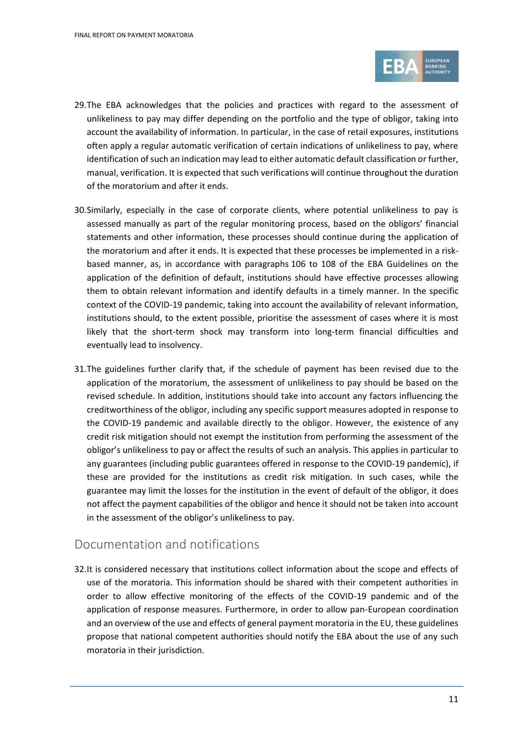

- 29.The EBA acknowledges that the policies and practices with regard to the assessment of unlikeliness to pay may differ depending on the portfolio and the type of obligor, taking into account the availability of information. In particular, in the case of retail exposures, institutions often apply a regular automatic verification of certain indications of unlikeliness to pay, where identification of such an indication may lead to either automatic default classification or further, manual, verification. It is expected that such verifications will continue throughout the duration of the moratorium and after it ends.
- 30.Similarly, especially in the case of corporate clients, where potential unlikeliness to pay is assessed manually as part of the regular monitoring process, based on the obligors' financial statements and other information, these processes should continue during the application of the moratorium and after it ends. It is expected that these processes be implemented in a riskbased manner, as, in accordance with paragraphs 106 to 108 of the EBA Guidelines on the application of the definition of default, institutions should have effective processes allowing them to obtain relevant information and identify defaults in a timely manner. In the specific context of the COVID-19 pandemic, taking into account the availability of relevant information, institutions should, to the extent possible, prioritise the assessment of cases where it is most likely that the short-term shock may transform into long-term financial difficulties and eventually lead to insolvency.
- 31.The guidelines further clarify that, if the schedule of payment has been revised due to the application of the moratorium, the assessment of unlikeliness to pay should be based on the revised schedule. In addition, institutions should take into account any factors influencing the creditworthiness of the obligor, including any specific support measures adopted in response to the COVID-19 pandemic and available directly to the obligor. However, the existence of any credit risk mitigation should not exempt the institution from performing the assessment of the obligor's unlikeliness to pay or affect the results of such an analysis. This applies in particular to any guarantees (including public guarantees offered in response to the COVID-19 pandemic), if these are provided for the institutions as credit risk mitigation. In such cases, while the guarantee may limit the losses for the institution in the event of default of the obligor, it does not affect the payment capabilities of the obligor and hence it should not be taken into account in the assessment of the obligor's unlikeliness to pay.

#### Documentation and notifications

32.It is considered necessary that institutions collect information about the scope and effects of use of the moratoria. This information should be shared with their competent authorities in order to allow effective monitoring of the effects of the COVID-19 pandemic and of the application of response measures. Furthermore, in order to allow pan-European coordination and an overview of the use and effects of general payment moratoria in the EU, these guidelines propose that national competent authorities should notify the EBA about the use of any such moratoria in their jurisdiction.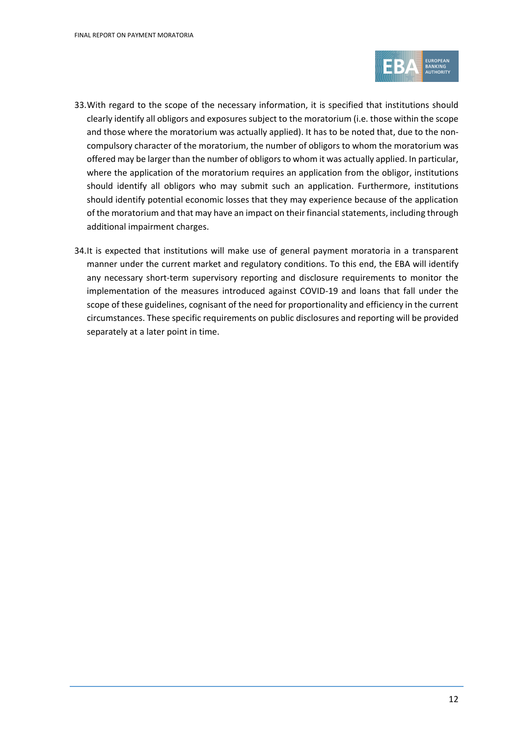

- 33.With regard to the scope of the necessary information, it is specified that institutions should clearly identify all obligors and exposures subject to the moratorium (i.e. those within the scope and those where the moratorium was actually applied). It has to be noted that, due to the noncompulsory character of the moratorium, the number of obligors to whom the moratorium was offered may be larger than the number of obligors to whom it was actually applied. In particular, where the application of the moratorium requires an application from the obligor, institutions should identify all obligors who may submit such an application. Furthermore, institutions should identify potential economic losses that they may experience because of the application of the moratorium and that may have an impact on their financial statements, including through additional impairment charges.
- 34.It is expected that institutions will make use of general payment moratoria in a transparent manner under the current market and regulatory conditions. To this end, the EBA will identify any necessary short-term supervisory reporting and disclosure requirements to monitor the implementation of the measures introduced against COVID-19 and loans that fall under the scope of these guidelines, cognisant of the need for proportionality and efficiency in the current circumstances. These specific requirements on public disclosures and reporting will be provided separately at a later point in time.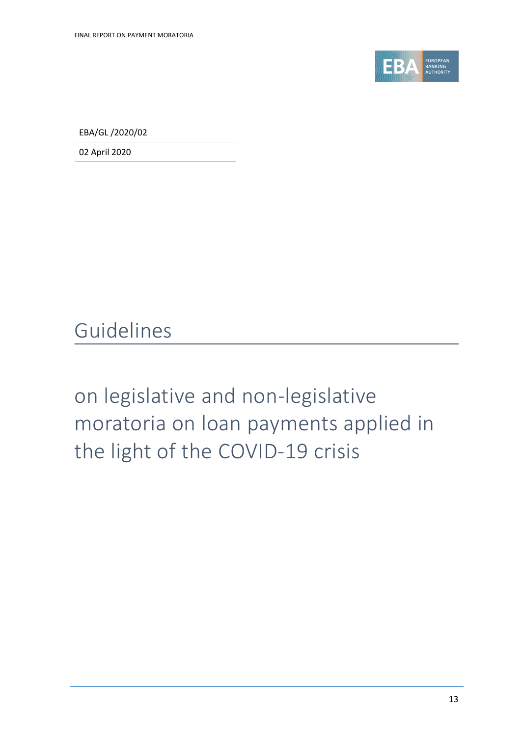

EBA/GL /2020/02

02 April 2020

Guidelines

on legislative and non-legislative moratoria on loan payments applied in the light of the COVID-19 crisis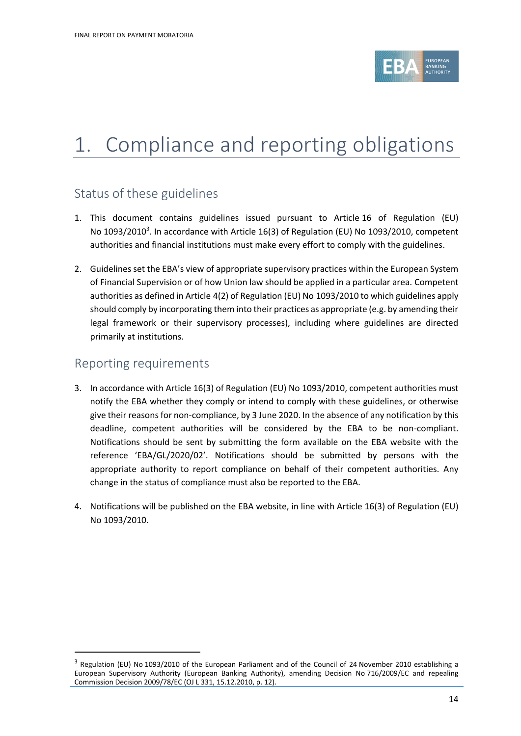

## 1. Compliance and reporting obligations

#### Status of these guidelines

- 1. This document contains guidelines issued pursuant to Article 16 of Regulation (EU) No 1093/2010<sup>3</sup>. In accordance with Article 16(3) of Regulation (EU) No 1093/2010, competent authorities and financial institutions must make every effort to comply with the guidelines.
- 2. Guidelines set the EBA's view of appropriate supervisory practices within the European System of Financial Supervision or of how Union law should be applied in a particular area. Competent authorities as defined in Article 4(2) of Regulation (EU) No 1093/2010 to which guidelines apply should comply by incorporating them into their practices as appropriate (e.g. by amending their legal framework or their supervisory processes), including where guidelines are directed primarily at institutions.

#### Reporting requirements

 $\overline{a}$ 

- 3. In accordance with Article 16(3) of Regulation (EU) No 1093/2010, competent authorities must notify the EBA whether they comply or intend to comply with these guidelines, or otherwise give their reasons for non-compliance, by 3 June 2020. In the absence of any notification by this deadline, competent authorities will be considered by the EBA to be non-compliant. Notifications should be sent by submitting the form available on the EBA website with the reference 'EBA/GL/2020/02'. Notifications should be submitted by persons with the appropriate authority to report compliance on behalf of their competent authorities. Any change in the status of compliance must also be reported to the EBA.
- 4. Notifications will be published on the EBA website, in line with Article 16(3) of Regulation (EU) No 1093/2010.

<sup>&</sup>lt;sup>3</sup> Regulation (EU) No 1093/2010 of the European Parliament and of the Council of 24 November 2010 establishing a European Supervisory Authority (European Banking Authority), amending Decision No 716/2009/EC and repealing Commission Decision 2009/78/EC (OJ L 331, 15.12.2010, p. 12).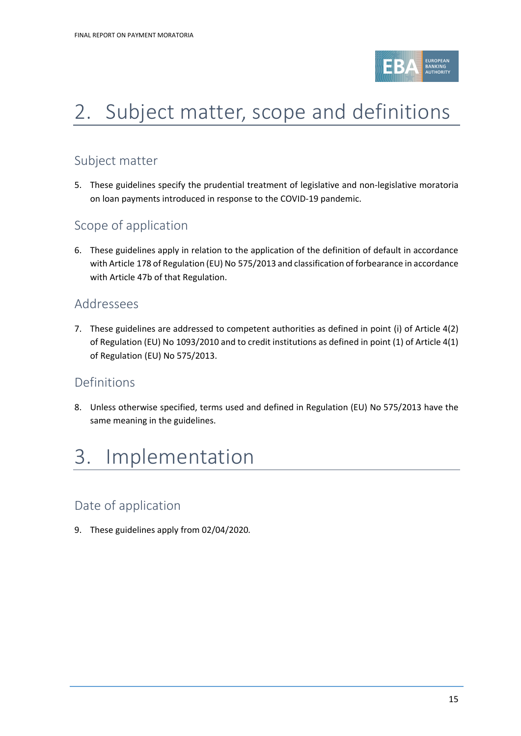

# 2. Subject matter, scope and definitions

### Subject matter

5. These guidelines specify the prudential treatment of legislative and non-legislative moratoria on loan payments introduced in response to the COVID-19 pandemic.

#### Scope of application

6. These guidelines apply in relation to the application of the definition of default in accordance with Article 178 of Regulation (EU) No 575/2013 and classification of forbearance in accordance with Article 47b of that Regulation.

#### Addressees

7. These guidelines are addressed to competent authorities as defined in point (i) of Article 4(2) of Regulation (EU) No 1093/2010 and to credit institutions as defined in point (1) of Article 4(1) of Regulation (EU) No 575/2013.

#### Definitions

8. Unless otherwise specified, terms used and defined in Regulation (EU) No 575/2013 have the same meaning in the guidelines.

## 3. Implementation

### Date of application

9. These guidelines apply from 02/04/2020*.*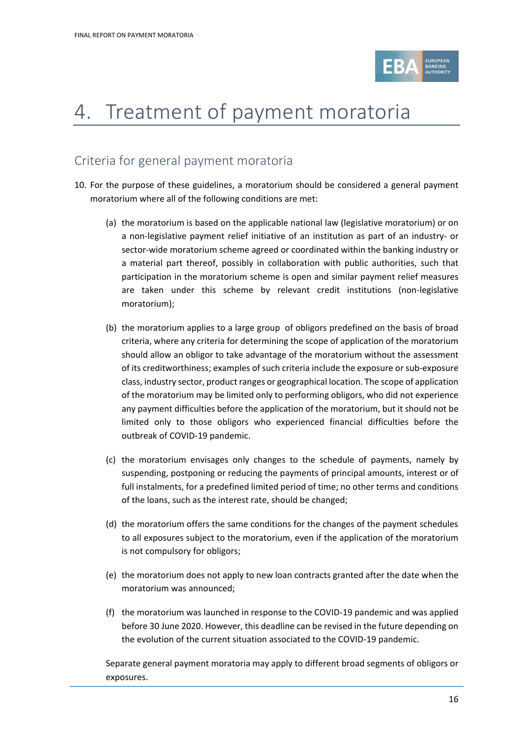

## 4. Treatment of payment moratoria

### Criteria for general payment moratoria

- <span id="page-15-1"></span><span id="page-15-0"></span>10. For the purpose of these guidelines, a moratorium should be considered a general payment moratorium where all of the following conditions are met:
	- (a) the moratorium is based on the applicable national law (legislative moratorium) or on a non-legislative payment relief initiative of an institution as part of an industry- or sector-wide moratorium scheme agreed or coordinated within the banking industry or a material part thereof, possibly in collaboration with public authorities, such that participation in the moratorium scheme is open and similar payment relief measures are taken under this scheme by relevant credit institutions (non-legislative moratorium);
	- (b) the moratorium applies to a large group of obligors predefined on the basis of broad criteria, where any criteria for determining the scope of application of the moratorium should allow an obligor to take advantage of the moratorium without the assessment of its creditworthiness; examples of such criteria include the exposure or sub-exposure class, industry sector, product ranges or geographical location. The scope of application of the moratorium may be limited only to performing obligors, who did not experience any payment difficulties before the application of the moratorium, but it should not be limited only to those obligors who experienced financial difficulties before the outbreak of COVID-19 pandemic.
	- (c) the moratorium envisages only changes to the schedule of payments, namely by suspending, postponing or reducing the payments of principal amounts, interest or of full instalments, for a predefined limited period of time; no other terms and conditions of the loans, such as the interest rate, should be changed;
	- (d) the moratorium offers the same conditions for the changes of the payment schedules to all exposures subject to the moratorium, even if the application of the moratorium is not compulsory for obligors;
	- (e) the moratorium does not apply to new loan contracts granted after the date when the moratorium was announced;
	- (f) the moratorium was launched in response to the COVID-19 pandemic and was applied before 30 June 2020. However, this deadline can be revised in the future depending on the evolution of the current situation associated to the COVID-19 pandemic.

Separate general payment moratoria may apply to different broad segments of obligors or exposures.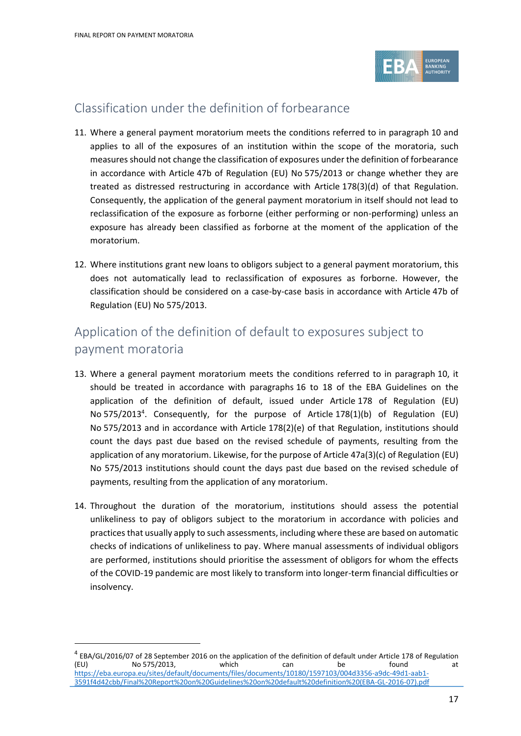$\ddot{\phantom{a}}$ 



### Classification under the definition of forbearance

- 11. Where a general payment moratorium meets the conditions referred to in paragraph 10 and applies to all of the exposures of an institution within the scope of the moratoria, such measures should not change the classification of exposures under the definition of forbearance in accordance with Article 47b of Regulation (EU) No 575/2013 or change whether they are treated as distressed restructuring in accordance with Article 178(3)(d) of that Regulation. Consequently, the application of the general payment moratorium in itself should not lead to reclassification of the exposure as forborne (either performing or non-performing) unless an exposure has already been classified as forborne at the moment of the application of the moratorium.
- 12. Where institutions grant new loans to obligors subject to a general payment moratorium, this does not automatically lead to reclassification of exposures as forborne. However, the classification should be considered on a case-by-case basis in accordance with Article 47b of Regulation (EU) No 575/2013.

### Application of the definition of default to exposures subject to payment moratoria

- 13. Where a general payment moratorium meets the conditions referred to in paragraph [10,](#page-15-0) it should be treated in accordance with paragraphs 16 to 18 of the EBA Guidelines on the application of the definition of default, issued under Article 178 of Regulation (EU) No 575/2013<sup>4</sup>. Consequently, for the purpose of Article 178(1)(b) of Regulation (EU) No 575/2013 and in accordance with Article 178(2)(e) of that Regulation, institutions should count the days past due based on the revised schedule of payments, resulting from the application of any moratorium. Likewise, for the purpose of Article 47a(3)(c) of Regulation (EU) No 575/2013 institutions should count the days past due based on the revised schedule of payments, resulting from the application of any moratorium.
- 14. Throughout the duration of the moratorium, institutions should assess the potential unlikeliness to pay of obligors subject to the moratorium in accordance with policies and practicesthat usually apply to such assessments, including where these are based on automatic checks of indications of unlikeliness to pay. Where manual assessments of individual obligors are performed, institutions should prioritise the assessment of obligors for whom the effects of the COVID-19 pandemic are most likely to transform into longer-term financial difficulties or insolvency.

<sup>&</sup>lt;sup>4</sup> EBA/GL/2016/07 of 28 September 2016 on the application of the definition of default under Article 178 of Regulation (EU) No 575/2013, which can be found at [https://eba.europa.eu/sites/default/documents/files/documents/10180/1597103/004d3356-a9dc-49d1-aab1-](https://eba.europa.eu/sites/default/documents/files/documents/10180/1597103/004d3356-a9dc-49d1-aab1-3591f4d42cbb/Final%20Report%20on%20Guidelines%20on%20default%20definition%20(EBA-GL-2016-07).pdf) [3591f4d42cbb/Final%20Report%20on%20Guidelines%20on%20default%20definition%20\(EBA-GL-2016-07\).pdf](https://eba.europa.eu/sites/default/documents/files/documents/10180/1597103/004d3356-a9dc-49d1-aab1-3591f4d42cbb/Final%20Report%20on%20Guidelines%20on%20default%20definition%20(EBA-GL-2016-07).pdf)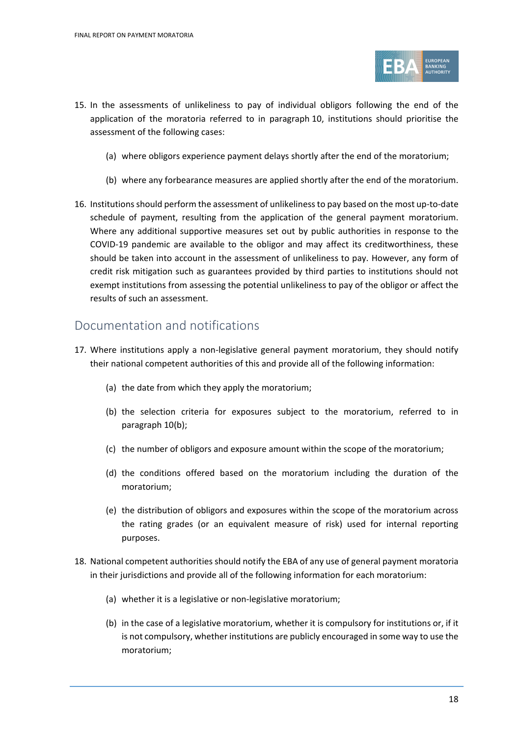

- 15. In the assessments of unlikeliness to pay of individual obligors following the end of the application of the moratoria referred to in paragraph [10,](#page-15-0) institutions should prioritise the assessment of the following cases:
	- (a) where obligors experience payment delays shortly after the end of the moratorium;
	- (b) where any forbearance measures are applied shortly after the end of the moratorium.
- 16. Institutions should perform the assessment of unlikeliness to pay based on the most up-to-date schedule of payment, resulting from the application of the general payment moratorium. Where any additional supportive measures set out by public authorities in response to the COVID-19 pandemic are available to the obligor and may affect its creditworthiness, these should be taken into account in the assessment of unlikeliness to pay. However, any form of credit risk mitigation such as guarantees provided by third parties to institutions should not exempt institutions from assessing the potential unlikeliness to pay of the obligor or affect the results of such an assessment.

#### Documentation and notifications

- 17. Where institutions apply a non-legislative general payment moratorium, they should notify their national competent authorities of this and provide all of the following information:
	- (a) the date from which they apply the moratorium;
	- (b) the selection criteria for exposures subject to the moratorium, referred to in paragraph [10\(b\);](#page-15-1)
	- (c) the number of obligors and exposure amount within the scope of the moratorium;
	- (d) the conditions offered based on the moratorium including the duration of the moratorium;
	- (e) the distribution of obligors and exposures within the scope of the moratorium across the rating grades (or an equivalent measure of risk) used for internal reporting purposes.
- 18. National competent authorities should notify the EBA of any use of general payment moratoria in their jurisdictions and provide all of the following information for each moratorium:
	- (a) whether it is a legislative or non-legislative moratorium;
	- (b) in the case of a legislative moratorium, whether it is compulsory for institutions or, if it is not compulsory, whether institutions are publicly encouraged in some way to use the moratorium;